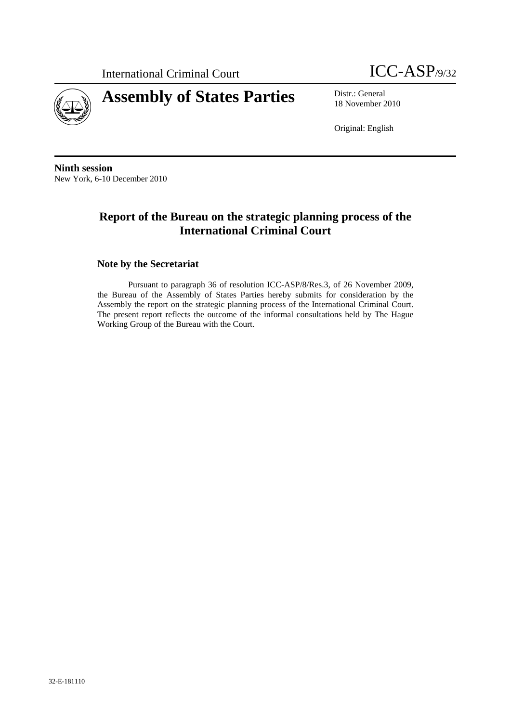International Criminal Court **ICC-ASP**/9/32





18 November 2010

Original: English

**Ninth session**  New York, 6-10 December 2010

# **Report of the Bureau on the strategic planning process of the International Criminal Court**

### **Note by the Secretariat**

Pursuant to paragraph 36 of resolution ICC-ASP/8/Res.3, of 26 November 2009, the Bureau of the Assembly of States Parties hereby submits for consideration by the Assembly the report on the strategic planning process of the International Criminal Court. The present report reflects the outcome of the informal consultations held by The Hague Working Group of the Bureau with the Court.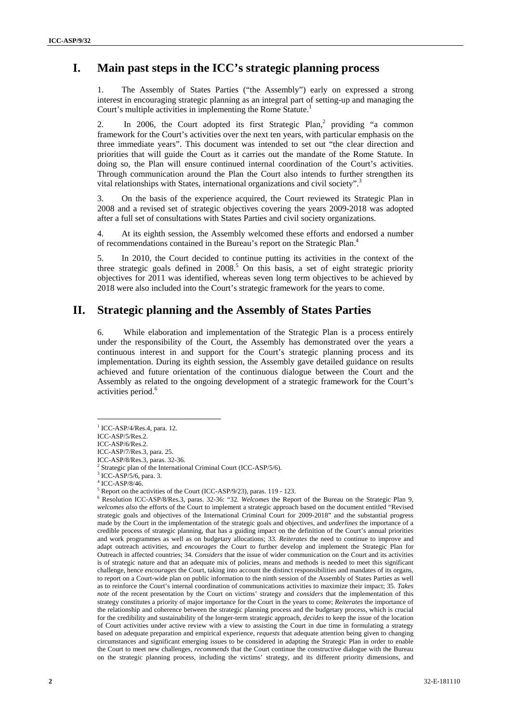# **I. Main past steps in the ICC's strategic planning process**

1. The Assembly of States Parties ("the Assembly") early on expressed a strong interest in encouraging strategic planning as an integral part of setting-up and managing the Court's multiple activities in implementing the Rome Statute.<sup>1</sup>

2. In 2006, the Court adopted its first Strategic Plan,<sup>2</sup> providing "a common framework for the Court's activities over the next ten years, with particular emphasis on the three immediate years". This document was intended to set out "the clear direction and priorities that will guide the Court as it carries out the mandate of the Rome Statute. In doing so, the Plan will ensure continued internal coordination of the Court's activities. Through communication around the Plan the Court also intends to further strengthen its vital relationships with States, international organizations and civil society".<sup>3</sup>

3. On the basis of the experience acquired, the Court reviewed its Strategic Plan in 2008 and a revised set of strategic objectives covering the years 2009-2018 was adopted after a full set of consultations with States Parties and civil society organizations.

4. At its eighth session, the Assembly welcomed these efforts and endorsed a number of recommendations contained in the Bureau's report on the Strategic Plan.<sup>4</sup>

5. In 2010, the Court decided to continue putting its activities in the context of the three strategic goals defined in  $2008<sup>5</sup>$  On this basis, a set of eight strategic priority objectives for 2011 was identified, whereas seven long term objectives to be achieved by 2018 were also included into the Court's strategic framework for the years to come.

# **II. Strategic planning and the Assembly of States Parties**

6. While elaboration and implementation of the Strategic Plan is a process entirely under the responsibility of the Court, the Assembly has demonstrated over the years a continuous interest in and support for the Court's strategic planning process and its implementation. During its eighth session, the Assembly gave detailed guidance on results achieved and future orientation of the continuous dialogue between the Court and the Assembly as related to the ongoing development of a strategic framework for the Court's activities period.<sup>6</sup>

 $1$  ICC-ASP/4/Res.4, para. 12.

ICC-ASP/5/Res.2.

ICC-ASP/6/Res.2.

ICC-ASP/7/Res.3, para. 25. ICC-ASP/8/Res.3, paras. 32-36.

<sup>&</sup>lt;sup>2</sup> Strategic plan of the International Criminal Court (ICC-ASP/5/6).<br><sup>3</sup> ICC ASP/5/6, para 2

<sup>&</sup>lt;sup>3</sup> ICC-ASP/5/6, para. 3.

 $^{4}$  ICC-ASP/8/46.

Report on the activities of the Court (ICC-ASP/9/23), paras. 119 - 123.

Resolution ICC-ASP/8/Res.3, paras. 32-36: "32*. Welcomes* the Report of the Bureau on the Strategic Plan 9, *welcomes also* the efforts of the Court to implement a strategic approach based on the document entitled "Revised strategic goals and objectives of the International Criminal Court for 2009-2018" and the substantial progress made by the Court in the implementation of the strategic goals and objectives, and *underlines* the importance of a credible process of strategic planning, that has a guiding impact on the definition of the Court's annual priorities and work programmes as well as on budgetary allocations; 33. *Reiterates* the need to continue to improve and adapt outreach activities, and *encourages* the Court to further develop and implement the Strategic Plan for Outreach in affected countries; 34. *Considers* that the issue of wider communication on the Court and its activities is of strategic nature and that an adequate mix of policies, means and methods is needed to meet this significant challenge, hence *encourages* the Court, taking into account the distinct responsibilities and mandates of its organs, to report on a Court-wide plan on public information to the ninth session of the Assembly of States Parties as well as to reinforce the Court's internal coordination of communications activities to maximize their impact; 35. *Takes note* of the recent presentation by the Court on victims' strategy and *considers* that the implementation of this strategy constitutes a priority of major importance for the Court in the years to come; *Reiterates* the importance of the relationship and coherence between the strategic planning process and the budgetary process, which is crucial for the credibility and sustainability of the longer-term strategic approach, *decides* to keep the issue of the location of Court activities under active review with a view to assisting the Court in due time in formulating a strategy based on adequate preparation and empirical experience, *requests* that adequate attention being given to changing circumstances and significant emerging issues to be considered in adapting the Strategic Plan in order to enable the Court to meet new challenges, *recommends* that the Court continue the constructive dialogue with the Bureau on the strategic planning process, including the victims' strategy, and its different priority dimensions, and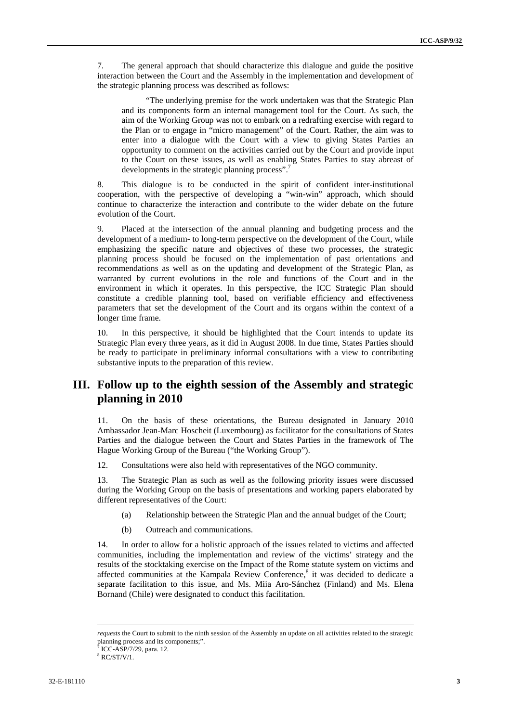7. The general approach that should characterize this dialogue and guide the positive interaction between the Court and the Assembly in the implementation and development of the strategic planning process was described as follows:

"The underlying premise for the work undertaken was that the Strategic Plan and its components form an internal management tool for the Court. As such, the aim of the Working Group was not to embark on a redrafting exercise with regard to the Plan or to engage in "micro management" of the Court. Rather, the aim was to enter into a dialogue with the Court with a view to giving States Parties an opportunity to comment on the activities carried out by the Court and provide input to the Court on these issues, as well as enabling States Parties to stay abreast of developments in the strategic planning process".<sup>7</sup>

8. This dialogue is to be conducted in the spirit of confident inter-institutional cooperation, with the perspective of developing a "win-win" approach, which should continue to characterize the interaction and contribute to the wider debate on the future evolution of the Court.

Placed at the intersection of the annual planning and budgeting process and the development of a medium- to long-term perspective on the development of the Court, while emphasizing the specific nature and objectives of these two processes, the strategic planning process should be focused on the implementation of past orientations and recommendations as well as on the updating and development of the Strategic Plan, as warranted by current evolutions in the role and functions of the Court and in the environment in which it operates. In this perspective, the ICC Strategic Plan should constitute a credible planning tool, based on verifiable efficiency and effectiveness parameters that set the development of the Court and its organs within the context of a longer time frame.

10. In this perspective, it should be highlighted that the Court intends to update its Strategic Plan every three years, as it did in August 2008. In due time, States Parties should be ready to participate in preliminary informal consultations with a view to contributing substantive inputs to the preparation of this review.

# **III. Follow up to the eighth session of the Assembly and strategic planning in 2010**

11. On the basis of these orientations, the Bureau designated in January 2010 Ambassador Jean-Marc Hoscheit (Luxembourg) as facilitator for the consultations of States Parties and the dialogue between the Court and States Parties in the framework of The Hague Working Group of the Bureau ("the Working Group").

12. Consultations were also held with representatives of the NGO community.

13. The Strategic Plan as such as well as the following priority issues were discussed during the Working Group on the basis of presentations and working papers elaborated by different representatives of the Court:

- (a) Relationship between the Strategic Plan and the annual budget of the Court;
- (b) Outreach and communications.

14. In order to allow for a holistic approach of the issues related to victims and affected communities, including the implementation and review of the victims' strategy and the results of the stocktaking exercise on the Impact of the Rome statute system on victims and affected communities at the Kampala Review Conference,<sup>8</sup> it was decided to dedicate a separate facilitation to this issue, and Ms. Miia Aro-Sánchez (Finland) and Ms. Elena Bornand (Chile) were designated to conduct this facilitation.

 *requests* the Court to submit to the ninth session of the Assembly an update on all activities related to the strategic planning process and its components;".  $7 \text{ ICG} \land \text{SD}/7/20$  pers 12

ICC-ASP/7/29, para. 12.

<sup>8</sup> RC/ST/V/1.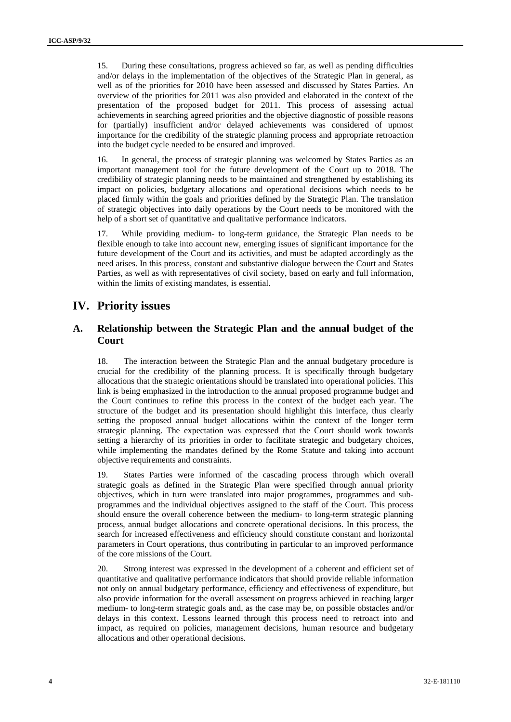15. During these consultations, progress achieved so far, as well as pending difficulties and/or delays in the implementation of the objectives of the Strategic Plan in general, as well as of the priorities for 2010 have been assessed and discussed by States Parties. An overview of the priorities for 2011 was also provided and elaborated in the context of the presentation of the proposed budget for 2011. This process of assessing actual achievements in searching agreed priorities and the objective diagnostic of possible reasons for (partially) insufficient and/or delayed achievements was considered of upmost importance for the credibility of the strategic planning process and appropriate retroaction into the budget cycle needed to be ensured and improved.

16. In general, the process of strategic planning was welcomed by States Parties as an important management tool for the future development of the Court up to 2018. The credibility of strategic planning needs to be maintained and strengthened by establishing its impact on policies, budgetary allocations and operational decisions which needs to be placed firmly within the goals and priorities defined by the Strategic Plan. The translation of strategic objectives into daily operations by the Court needs to be monitored with the help of a short set of quantitative and qualitative performance indicators.

17. While providing medium- to long-term guidance, the Strategic Plan needs to be flexible enough to take into account new, emerging issues of significant importance for the future development of the Court and its activities, and must be adapted accordingly as the need arises. In this process, constant and substantive dialogue between the Court and States Parties, as well as with representatives of civil society, based on early and full information, within the limits of existing mandates, is essential.

### **IV. Priority issues**

### **A. Relationship between the Strategic Plan and the annual budget of the Court**

18. The interaction between the Strategic Plan and the annual budgetary procedure is crucial for the credibility of the planning process. It is specifically through budgetary allocations that the strategic orientations should be translated into operational policies. This link is being emphasized in the introduction to the annual proposed programme budget and the Court continues to refine this process in the context of the budget each year. The structure of the budget and its presentation should highlight this interface, thus clearly setting the proposed annual budget allocations within the context of the longer term strategic planning. The expectation was expressed that the Court should work towards setting a hierarchy of its priorities in order to facilitate strategic and budgetary choices, while implementing the mandates defined by the Rome Statute and taking into account objective requirements and constraints.

19. States Parties were informed of the cascading process through which overall strategic goals as defined in the Strategic Plan were specified through annual priority objectives, which in turn were translated into major programmes, programmes and subprogrammes and the individual objectives assigned to the staff of the Court. This process should ensure the overall coherence between the medium- to long-term strategic planning process, annual budget allocations and concrete operational decisions. In this process, the search for increased effectiveness and efficiency should constitute constant and horizontal parameters in Court operations, thus contributing in particular to an improved performance of the core missions of the Court.

20. Strong interest was expressed in the development of a coherent and efficient set of quantitative and qualitative performance indicators that should provide reliable information not only on annual budgetary performance, efficiency and effectiveness of expenditure, but also provide information for the overall assessment on progress achieved in reaching larger medium- to long-term strategic goals and, as the case may be, on possible obstacles and/or delays in this context. Lessons learned through this process need to retroact into and impact, as required on policies, management decisions, human resource and budgetary allocations and other operational decisions.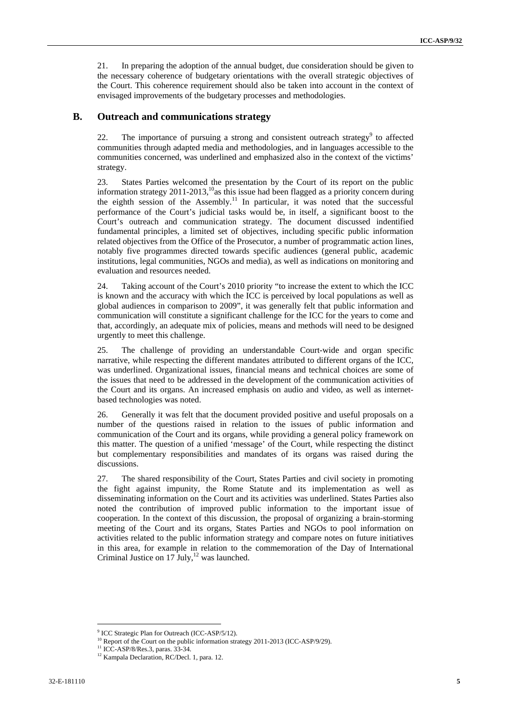21. In preparing the adoption of the annual budget, due consideration should be given to the necessary coherence of budgetary orientations with the overall strategic objectives of the Court. This coherence requirement should also be taken into account in the context of envisaged improvements of the budgetary processes and methodologies.

#### **B. Outreach and communications strategy**

22. The importance of pursuing a strong and consistent outreach strategy $9$  to affected communities through adapted media and methodologies, and in languages accessible to the communities concerned, was underlined and emphasized also in the context of the victims' strategy.

23. States Parties welcomed the presentation by the Court of its report on the public information strategy  $2011-2013$ ,<sup>10</sup>as this issue had been flagged as a priority concern during the eighth session of the Assembly.<sup>11</sup> In particular, it was noted that the successful performance of the Court's judicial tasks would be, in itself, a significant boost to the Court's outreach and communication strategy. The document discussed indentified fundamental principles, a limited set of objectives, including specific public information related objectives from the Office of the Prosecutor, a number of programmatic action lines, notably five programmes directed towards specific audiences (general public, academic institutions, legal communities, NGOs and media), as well as indications on monitoring and evaluation and resources needed.

24. Taking account of the Court's 2010 priority "to increase the extent to which the ICC is known and the accuracy with which the ICC is perceived by local populations as well as global audiences in comparison to 2009", it was generally felt that public information and communication will constitute a significant challenge for the ICC for the years to come and that, accordingly, an adequate mix of policies, means and methods will need to be designed urgently to meet this challenge.

25. The challenge of providing an understandable Court-wide and organ specific narrative, while respecting the different mandates attributed to different organs of the ICC, was underlined. Organizational issues, financial means and technical choices are some of the issues that need to be addressed in the development of the communication activities of the Court and its organs. An increased emphasis on audio and video, as well as internetbased technologies was noted.

26. Generally it was felt that the document provided positive and useful proposals on a number of the questions raised in relation to the issues of public information and communication of the Court and its organs, while providing a general policy framework on this matter. The question of a unified 'message' of the Court, while respecting the distinct but complementary responsibilities and mandates of its organs was raised during the discussions.

27. The shared responsibility of the Court, States Parties and civil society in promoting the fight against impunity, the Rome Statute and its implementation as well as disseminating information on the Court and its activities was underlined. States Parties also noted the contribution of improved public information to the important issue of cooperation. In the context of this discussion, the proposal of organizing a brain-storming meeting of the Court and its organs, States Parties and NGOs to pool information on activities related to the public information strategy and compare notes on future initiatives in this area, for example in relation to the commemoration of the Day of International Criminal Justice on  $17 \text{ July},^{12}$  was launched.

<sup>&</sup>lt;sup>9</sup> ICC Strategic Plan for Outreach (ICC-ASP/5/12).

<sup>&</sup>lt;sup>10</sup> Report of the Court on the public information strategy 2011-2013 (ICC-ASP/9/29).<br><sup>11</sup> ICC-ASP/8/Res.3, paras. 33-34.

<sup>&</sup>lt;sup>12</sup> Kampala Declaration, RC/Decl. 1, para. 12.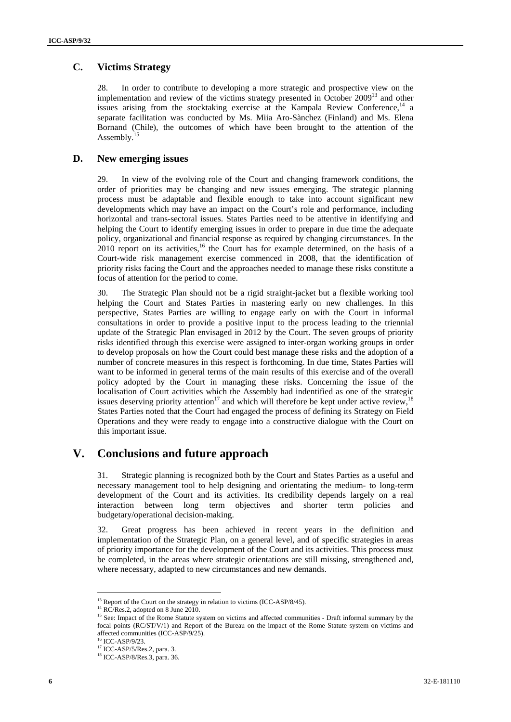### **C. Victims Strategy**

28. In order to contribute to developing a more strategic and prospective view on the implementation and review of the victims strategy presented in October  $2009<sup>13</sup>$  and other issues arising from the stocktaking exercise at the Kampala Review Conference, $14$  a separate facilitation was conducted by Ms. Miia Aro-Sànchez (Finland) and Ms. Elena Bornand (Chile), the outcomes of which have been brought to the attention of the Assembly.<sup>15</sup>

### **D. New emerging issues**

29. In view of the evolving role of the Court and changing framework conditions, the order of priorities may be changing and new issues emerging. The strategic planning process must be adaptable and flexible enough to take into account significant new developments which may have an impact on the Court's role and performance, including horizontal and trans-sectoral issues. States Parties need to be attentive in identifying and helping the Court to identify emerging issues in order to prepare in due time the adequate policy, organizational and financial response as required by changing circumstances. In the  $2010$  report on its activities,<sup>16</sup> the Court has for example determined, on the basis of a Court-wide risk management exercise commenced in 2008, that the identification of priority risks facing the Court and the approaches needed to manage these risks constitute a focus of attention for the period to come.

30. The Strategic Plan should not be a rigid straight-jacket but a flexible working tool helping the Court and States Parties in mastering early on new challenges. In this perspective, States Parties are willing to engage early on with the Court in informal consultations in order to provide a positive input to the process leading to the triennial update of the Strategic Plan envisaged in 2012 by the Court. The seven groups of priority risks identified through this exercise were assigned to inter-organ working groups in order to develop proposals on how the Court could best manage these risks and the adoption of a number of concrete measures in this respect is forthcoming. In due time, States Parties will want to be informed in general terms of the main results of this exercise and of the overall policy adopted by the Court in managing these risks. Concerning the issue of the localisation of Court activities which the Assembly had indentified as one of the strategic issues deserving priority attention<sup>17</sup> and which will therefore be kept under active review,<sup>18</sup> States Parties noted that the Court had engaged the process of defining its Strategy on Field Operations and they were ready to engage into a constructive dialogue with the Court on this important issue.

# **V. Conclusions and future approach**

31. Strategic planning is recognized both by the Court and States Parties as a useful and necessary management tool to help designing and orientating the medium- to long-term development of the Court and its activities. Its credibility depends largely on a real interaction between long term objectives and shorter term policies and budgetary/operational decision-making.

32. Great progress has been achieved in recent years in the definition and implementation of the Strategic Plan, on a general level, and of specific strategies in areas of priority importance for the development of the Court and its activities. This process must be completed, in the areas where strategic orientations are still missing, strengthened and, where necessary, adapted to new circumstances and new demands.

 <sup>13</sup> Report of the Court on the strategy in relation to victims (ICC-ASP/8/45). <sup>14</sup> RC/Res.2, adopted on 8 June 2010.

<sup>&</sup>lt;sup>14</sup> RC/Res.2, adopted on 8 June 2010.<br><sup>15</sup> See: Impact of the Rome Statute system on victims and affected communities - Draft informal summary by the focal points (RC/ST/V/1) and Report of the Bureau on the impact of the Rome Statute system on victims and affected communities (ICC-ASP/9/25).

<sup>16</sup> ICC-ASP/9/23.

<sup>&</sup>lt;sup>17</sup> ICC-ASP/5/Res.2, para. 3.

<sup>18</sup> ICC-ASP/8/Res.3, para. 36.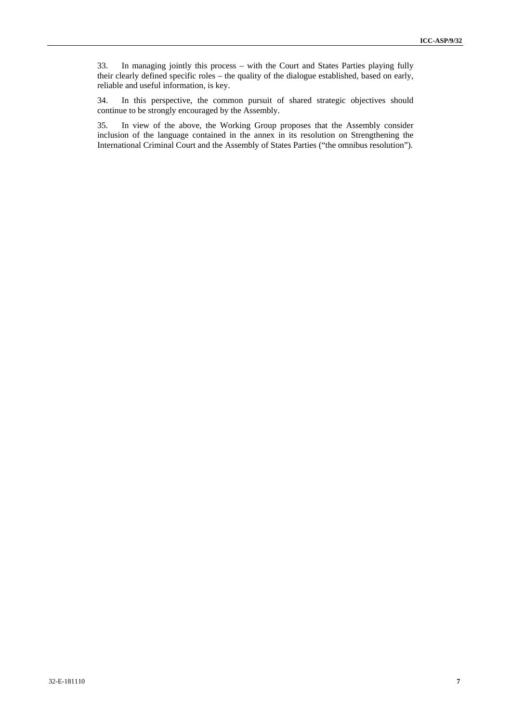33. In managing jointly this process – with the Court and States Parties playing fully their clearly defined specific roles – the quality of the dialogue established, based on early, reliable and useful information, is key.

34. In this perspective, the common pursuit of shared strategic objectives should continue to be strongly encouraged by the Assembly.

35. In view of the above, the Working Group proposes that the Assembly consider inclusion of the language contained in the annex in its resolution on Strengthening the International Criminal Court and the Assembly of States Parties ("the omnibus resolution").